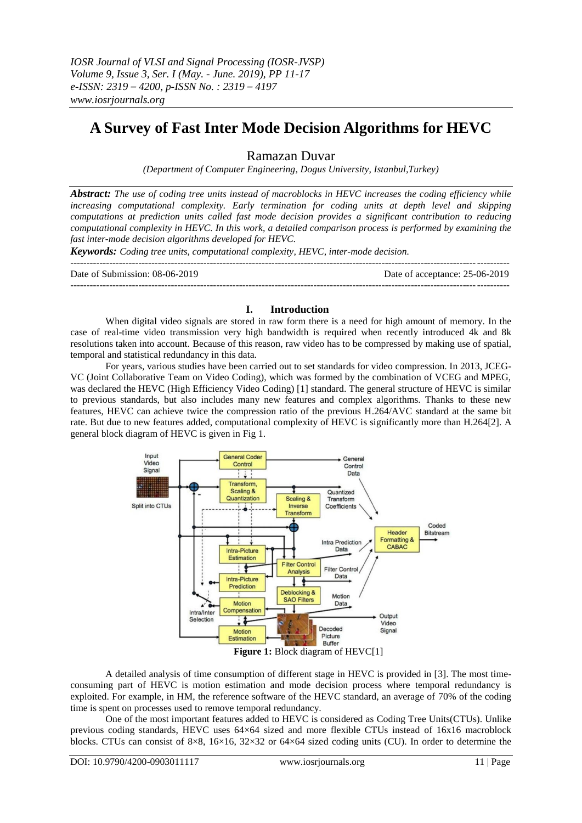# **A Survey of Fast Inter Mode Decision Algorithms for HEVC**

# Ramazan Duvar

*(Department of Computer Engineering, Dogus University, Istanbul,Turkey)*

*Abstract: The use of coding tree units instead of macroblocks in HEVC increases the coding efficiency while increasing computational complexity. Early termination for coding units at depth level and skipping computations at prediction units called fast mode decision provides a significant contribution to reducing computational complexity in HEVC. In this work, a detailed comparison process is performed by examining the fast inter-mode decision algorithms developed for HEVC.*

*Keywords: Coding tree units, computational complexity, HEVC, inter-mode decision.*

 $-1.1$ Date of Submission: 08-06-2019 Date of acceptance: 25-06-2019 ---------------------------------------------------------------------------------------------------------------------------------------

## **I. Introduction**

When digital video signals are stored in raw form there is a need for high amount of memory. In the case of real-time video transmission very high bandwidth is required when recently introduced 4k and 8k resolutions taken into account. Because of this reason, raw video has to be compressed by making use of spatial, temporal and statistical redundancy in this data.

For years, various studies have been carried out to set standards for video compression. In 2013, JCEG-VC (Joint Collaborative Team on Video Coding), which was formed by the combination of VCEG and MPEG, was declared the HEVC (High Efficiency Video Coding) [1] standard. The general structure of HEVC is similar to previous standards, but also includes many new features and complex algorithms. Thanks to these new features, HEVC can achieve twice the compression ratio of the previous H.264/AVC standard at the same bit rate. But due to new features added, computational complexity of HEVC is significantly more than H.264[2]. A general block diagram of HEVC is given in Fig 1.



A detailed analysis of time consumption of different stage in HEVC is provided in [3]. The most timeconsuming part of HEVC is motion estimation and mode decision process where temporal redundancy is exploited. For example, in HM, the reference software of the HEVC standard, an average of 70% of the coding time is spent on processes used to remove temporal redundancy.

One of the most important features added to HEVC is considered as Coding Tree Units(CTUs). Unlike previous coding standards, HEVC uses 64×64 sized and more flexible CTUs instead of 16x16 macroblock blocks. CTUs can consist of 8×8, 16×16, 32×32 or 64×64 sized coding units (CU). In order to determine the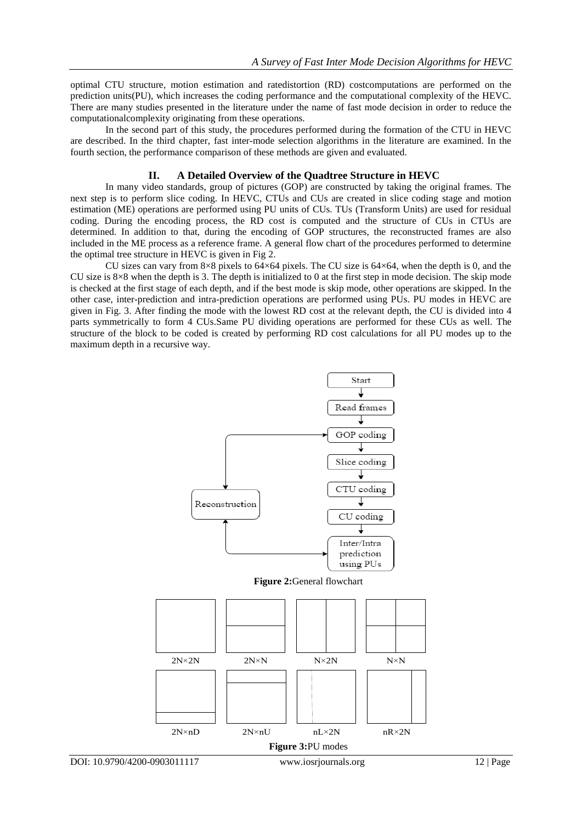optimal CTU structure, motion estimation and ratedistortion (RD) costcomputations are performed on the prediction units(PU), which increases the coding performance and the computational complexity of the HEVC. There are many studies presented in the literature under the name of fast mode decision in order to reduce the computationalcomplexity originating from these operations.

In the second part of this study, the procedures performed during the formation of the CTU in HEVC are described. In the third chapter, fast inter-mode selection algorithms in the literature are examined. In the fourth section, the performance comparison of these methods are given and evaluated.

#### **II. A Detailed Overview of the Quadtree Structure in HEVC**

In many video standards, group of pictures (GOP) are constructed by taking the original frames. The next step is to perform slice coding. In HEVC, CTUs and CUs are created in slice coding stage and motion estimation (ME) operations are performed using PU units of CUs. TUs (Transform Units) are used for residual coding. During the encoding process, the RD cost is computed and the structure of CUs in CTUs are determined. In addition to that, during the encoding of GOP structures, the reconstructed frames are also included in the ME process as a reference frame. A general flow chart of the procedures performed to determine the optimal tree structure in HEVC is given in Fig 2.

CU sizes can vary from  $8\times 8$  pixels to  $64\times 64$  pixels. The CU size is  $64\times 64$ , when the depth is 0, and the CU size is 8×8 when the depth is 3. The depth is initialized to 0 at the first step in mode decision. The skip mode is checked at the first stage of each depth, and if the best mode is skip mode, other operations are skipped. In the other case, inter-prediction and intra-prediction operations are performed using PUs. PU modes in HEVC are given in Fig. 3. After finding the mode with the lowest RD cost at the relevant depth, the CU is divided into 4 parts symmetrically to form 4 CUs.Same PU dividing operations are performed for these CUs as well. The structure of the block to be coded is created by performing RD cost calculations for all PU modes up to the maximum depth in a recursive way.

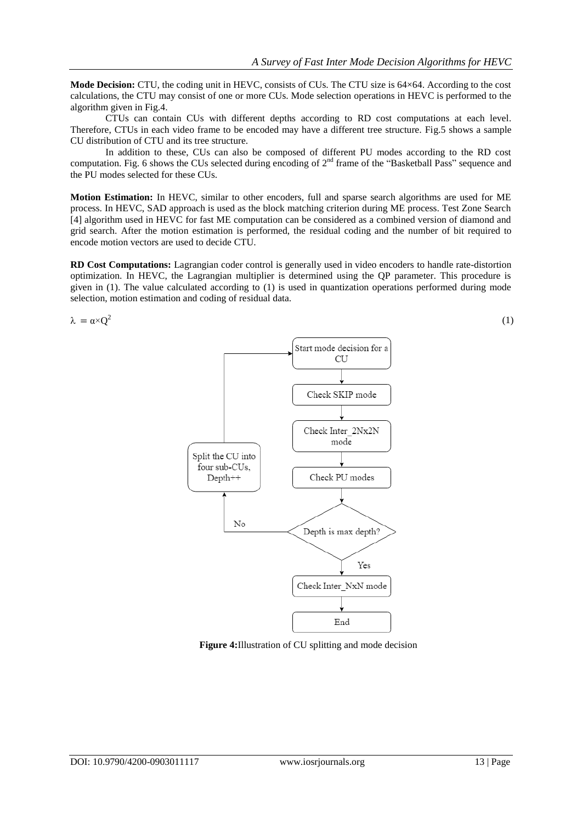**Mode Decision:** CTU, the coding unit in HEVC, consists of CUs. The CTU size is 64×64. According to the cost calculations, the CTU may consist of one or more CUs. Mode selection operations in HEVC is performed to the algorithm given in Fig.4.

CTUs can contain CUs with different depths according to RD cost computations at each level. Therefore, CTUs in each video frame to be encoded may have a different tree structure. Fig.5 shows a sample CU distribution of CTU and its tree structure.

In addition to these, CUs can also be composed of different PU modes according to the RD cost computation. Fig. 6 shows the CUs selected during encoding of  $2<sup>nd</sup>$  frame of the "Basketball Pass" sequence and the PU modes selected for these CUs.

**Motion Estimation:** In HEVC, similar to other encoders, full and sparse search algorithms are used for ME process. In HEVC, SAD approach is used as the block matching criterion during ME process. Test Zone Search [4] algorithm used in HEVC for fast ME computation can be considered as a combined version of diamond and grid search. After the motion estimation is performed, the residual coding and the number of bit required to encode motion vectors are used to decide CTU.

**RD Cost Computations:** Lagrangian coder control is generally used in video encoders to handle rate-distortion optimization. In HEVC, the Lagrangian multiplier is determined using the QP parameter. This procedure is given in (1). The value calculated according to (1) is used in quantization operations performed during mode selection, motion estimation and coding of residual data.

 $\lambda = \alpha \times Q^2$ 



**Figure 4:**Illustration of CU splitting and mode decision

(1)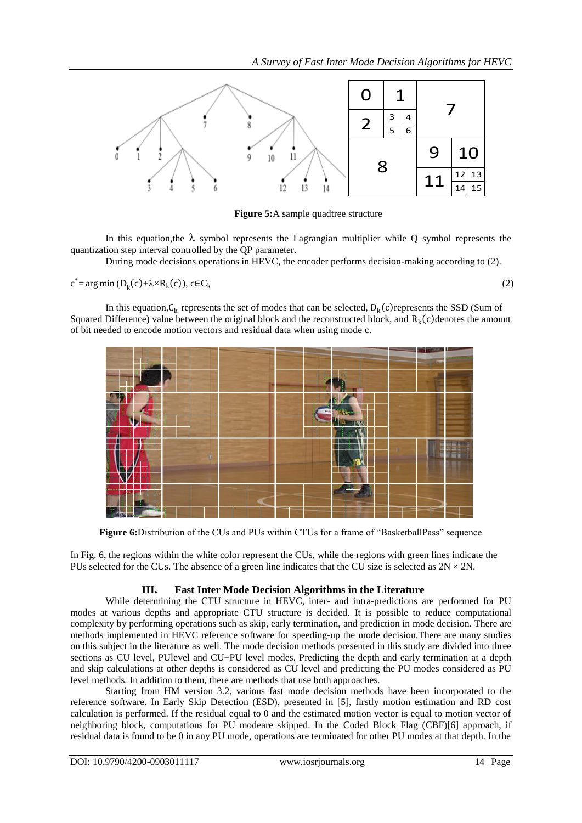

**Figure 5:**A sample quadtree structure

In this equation, the  $\lambda$  symbol represents the Lagrangian multiplier while Q symbol represents the quantization step interval controlled by the QP parameter.

During mode decisions operations in HEVC, the encoder performs decision-making according to (2).

 $c^* = arg min (D_k(c) + \lambda \times R_k(c))$ , c $\in C_k$ 

$$
(2)
$$

In this equation,  $C_k$  represents the set of modes that can be selected,  $D_k(c)$  represents the SSD (Sum of Squared Difference) value between the original block and the reconstructed block, and  $R_k(c)$  denotes the amount of bit needed to encode motion vectors and residual data when using mode c.



**Figure 6:**Distribution of the CUs and PUs within CTUs for a frame of "BasketballPass" sequence

In Fig. 6, the regions within the white color represent the CUs, while the regions with green lines indicate the PUs selected for the CUs. The absence of a green line indicates that the CU size is selected as  $2N \times 2N$ .

# **III. Fast Inter Mode Decision Algorithms in the Literature**

While determining the CTU structure in HEVC, inter- and intra-predictions are performed for PU modes at various depths and appropriate CTU structure is decided. It is possible to reduce computational complexity by performing operations such as skip, early termination, and prediction in mode decision. There are methods implemented in HEVC reference software for speeding-up the mode decision.There are many studies on this subject in the literature as well. The mode decision methods presented in this study are divided into three sections as CU level, PUlevel and CU+PU level modes. Predicting the depth and early termination at a depth and skip calculations at other depths is considered as CU level and predicting the PU modes considered as PU level methods. In addition to them, there are methods that use both approaches.

Starting from HM version 3.2, various fast mode decision methods have been incorporated to the reference software. In Early Skip Detection (ESD), presented in [5], firstly motion estimation and RD cost calculation is performed. If the residual equal to 0 and the estimated motion vector is equal to motion vector of neighboring block, computations for PU modeare skipped. In the Coded Block Flag (CBF)[6] approach, if residual data is found to be 0 in any PU mode, operations are terminated for other PU modes at that depth. In the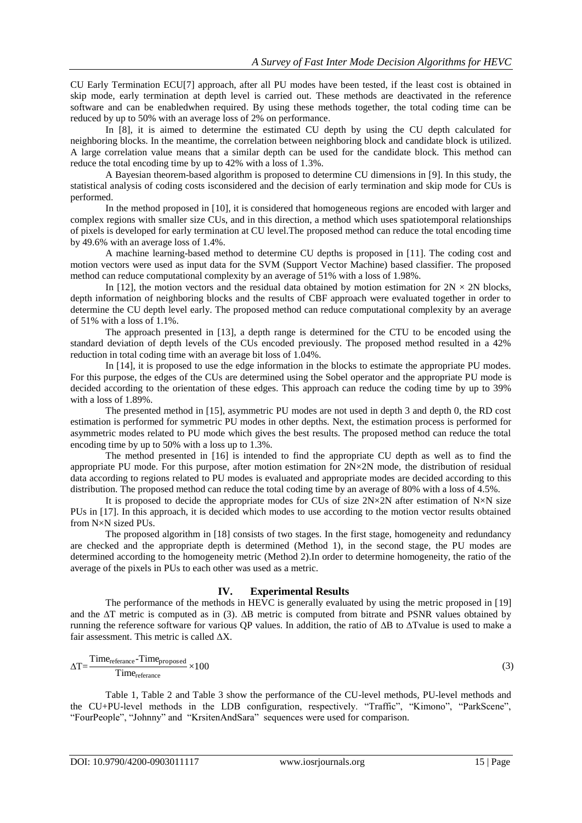CU Early Termination ECU[7] approach, after all PU modes have been tested, if the least cost is obtained in skip mode, early termination at depth level is carried out. These methods are deactivated in the reference software and can be enabledwhen required. By using these methods together, the total coding time can be reduced by up to 50% with an average loss of 2% on performance.

In [8], it is aimed to determine the estimated CU depth by using the CU depth calculated for neighboring blocks. In the meantime, the correlation between neighboring block and candidate block is utilized. A large correlation value means that a similar depth can be used for the candidate block. This method can reduce the total encoding time by up to 42% with a loss of 1.3%.

A Bayesian theorem-based algorithm is proposed to determine CU dimensions in [9]. In this study, the statistical analysis of coding costs isconsidered and the decision of early termination and skip mode for CUs is performed.

In the method proposed in [10], it is considered that homogeneous regions are encoded with larger and complex regions with smaller size CUs, and in this direction, a method which uses spatiotemporal relationships of pixels is developed for early termination at CU level.The proposed method can reduce the total encoding time by 49.6% with an average loss of 1.4%.

A machine learning-based method to determine CU depths is proposed in [11]. The coding cost and motion vectors were used as input data for the SVM (Support Vector Machine) based classifier. The proposed method can reduce computational complexity by an average of 51% with a loss of 1.98%.

In [12], the motion vectors and the residual data obtained by motion estimation for  $2N \times 2N$  blocks, depth information of neighboring blocks and the results of CBF approach were evaluated together in order to determine the CU depth level early. The proposed method can reduce computational complexity by an average of 51% with a loss of 1.1%.

The approach presented in [13], a depth range is determined for the CTU to be encoded using the standard deviation of depth levels of the CUs encoded previously. The proposed method resulted in a 42% reduction in total coding time with an average bit loss of 1.04%.

In [14], it is proposed to use the edge information in the blocks to estimate the appropriate PU modes. For this purpose, the edges of the CUs are determined using the Sobel operator and the appropriate PU mode is decided according to the orientation of these edges. This approach can reduce the coding time by up to 39% with a loss of 1.89%.

The presented method in [15], asymmetric PU modes are not used in depth 3 and depth 0, the RD cost estimation is performed for symmetric PU modes in other depths. Next, the estimation process is performed for asymmetric modes related to PU mode which gives the best results. The proposed method can reduce the total encoding time by up to 50% with a loss up to 1.3%.

The method presented in [16] is intended to find the appropriate CU depth as well as to find the appropriate PU mode. For this purpose, after motion estimation for 2N×2N mode, the distribution of residual data according to regions related to PU modes is evaluated and appropriate modes are decided according to this distribution. The proposed method can reduce the total coding time by an average of 80% with a loss of 4.5%.

It is proposed to decide the appropriate modes for CUs of size  $2N\times2N$  after estimation of N×N size PUs in [17]. In this approach, it is decided which modes to use according to the motion vector results obtained from N×N sized PUs.

The proposed algorithm in [18] consists of two stages. In the first stage, homogeneity and redundancy are checked and the appropriate depth is determined (Method 1), in the second stage, the PU modes are determined according to the homogeneity metric (Method 2).In order to determine homogeneity, the ratio of the average of the pixels in PUs to each other was used as a metric.

### **IV. Experimental Results**

The performance of the methods in HEVC is generally evaluated by using the metric proposed in [19] and the ∆T metric is computed as in (3). ∆B metric is computed from bitrate and PSNR values obtained by running the reference software for various QP values. In addition, the ratio of ∆B to ∆Tvalue is used to make a fair assessment. This metric is called ∆X.

$$
\Delta T = \frac{\text{Time}_{\text{reference}} - \text{Time}_{\text{proposed}}}{\text{Time}_{\text{reference}}} \times 100
$$
 (3)

Table 1, Table 2 and Table 3 show the performance of the CU-level methods, PU-level methods and the CU+PU-level methods in the LDB configuration, respectively. "Traffic", "Kimono", "ParkScene", "FourPeople", "Johnny" and "KrsitenAndSara" sequences were used for comparison.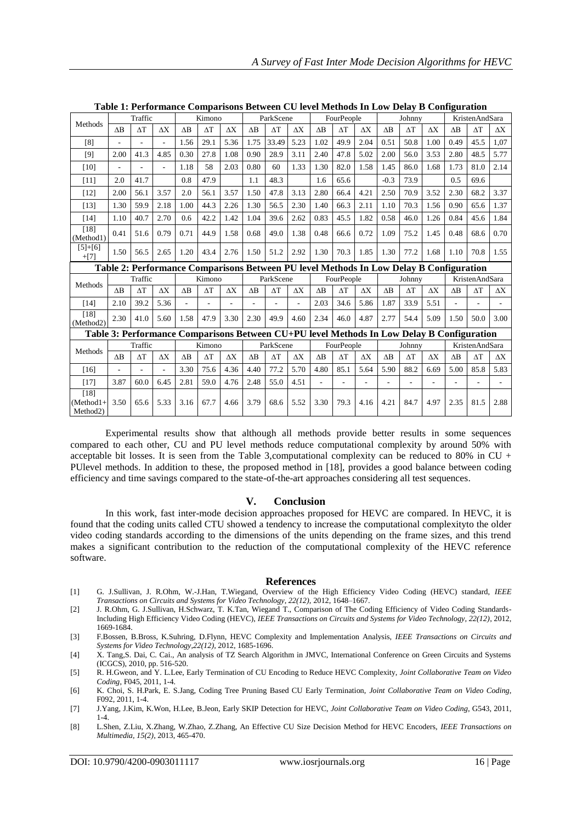| Methods                                                                                   | Traffic                  |                          |            | Kimono          |            |            | ParkScene  |            |            | FourPeople     |            |                | Johnny     |            |                | KristenAndSara |            |            |
|-------------------------------------------------------------------------------------------|--------------------------|--------------------------|------------|-----------------|------------|------------|------------|------------|------------|----------------|------------|----------------|------------|------------|----------------|----------------|------------|------------|
|                                                                                           | $\Delta B$               | $\Delta T$               | $\Delta X$ | $\overline{AB}$ | $\Delta T$ | $\Delta X$ | $\Delta B$ | $\Delta T$ | $\Delta X$ | $\Delta B$     | $\Delta T$ | $\Delta \rm X$ | $\Delta B$ | $\Delta T$ | $\Delta X$     | AB             | $\Delta T$ | $\Delta X$ |
| [8]                                                                                       | $\overline{\phantom{a}}$ | L.                       | ÷.         | 1.56            | 29.1       | 5.36       | 1.75       | 33.49      | 5.23       | 1.02           | 49.9       | 2.04           | 0.51       | 50.8       | 1.00           | 0.49           | 45.5       | 1,07       |
| [9]                                                                                       | 2.00                     | 41.3                     | 4.85       | 0.30            | 27.8       | 1.08       | 0.90       | 28.9       | 3.11       | 2.40           | 47.8       | 5.02           | 2.00       | 56.0       | 3.53           | 2.80           | 48.5       | 5.77       |
| $[10]$                                                                                    | L,                       | $\overline{\phantom{a}}$ | ÷.         | 1.18            | 58         | 2.03       | 0.80       | 60         | 1.33       | 1.30           | 82.0       | 1.58           | 1.45       | 86.0       | 1.68           | 1.73           | 81.0       | 2.14       |
| [11]                                                                                      | 2.0                      | 41.7                     |            | 0.8             | 47.9       |            | 1.1        | 48.3       |            | 1.6            | 65.6       |                | $-0.3$     | 73.9       |                | 0.5            | 69.6       |            |
| $[12]$                                                                                    | 2.00                     | 56.1                     | 3.57       | 2.0             | 56.1       | 3.57       | 1.50       | 47.8       | 3.13       | 2.80           | 66.4       | 4.21           | 2.50       | 70.9       | 3.52           | 2.30           | 68.2       | 3.37       |
| $[13]$                                                                                    | 1.30                     | 59.9                     | 2.18       | 1.00            | 44.3       | 2.26       | 1.30       | 56.5       | 2.30       | 1.40           | 66.3       | 2.11           | 1.10       | 70.3       | 1.56           | 0.90           | 65.6       | 1.37       |
| $[14]$                                                                                    | 1.10                     | 40.7                     | 2.70       | 0.6             | 42.2       | 1.42       | 1.04       | 39.6       | 2.62       | 0.83           | 45.5       | 1.82           | 0.58       | 46.0       | 1.26           | 0.84           | 45.6       | 1.84       |
| [18]<br>(Method1)                                                                         | 0.41                     | 51.6                     | 0.79       | 0.71            | 44.9       | 1.58       | 0.68       | 49.0       | 1.38       | 0.48           | 66.6       | 0.72           | 1.09       | 75.2       | 1.45           | 0.48           | 68.6       | 0.70       |
| $[5]+[6]$<br>$+[7]$                                                                       | 1.50                     | 56.5                     | 2.65       | 1.20            | 43.4       | 2.76       | 1.50       | 51.2       | 2.92       | 1.30           | 70.3       | 1.85           | 1.30       | 77.2       | 1.68           | 1.10           | 70.8       | 1.55       |
| Table 2: Performance Comparisons Between PU level Methods In Low Delay B Configuration    |                          |                          |            |                 |            |            |            |            |            |                |            |                |            |            |                |                |            |            |
| Methods                                                                                   | Traffic                  |                          |            | Kimono          |            |            | ParkScene  |            |            | FourPeople     |            | Johnny         |            |            | KristenAndSara |                |            |            |
|                                                                                           | $\Delta B$               | $\Delta T$               | $\Delta X$ | $\Delta B$      | $\Delta T$ | $\Delta X$ | $\Delta B$ | $\Delta T$ | $\Delta X$ | $\Delta B$     | $\Delta T$ | $\Delta X$     | $\Delta B$ | $\Delta T$ | $\Delta X$     | $\Delta B$     | $\Delta T$ | $\Delta X$ |
| $[14]$                                                                                    | 2.10                     | 39.2                     | 5.36       |                 |            |            |            |            |            | 2.03           | 34.6       | 5.86           | 1.87       | 33.9       | 5.51           |                |            |            |
| $[18]$<br>(Method2)                                                                       | 2.30                     | 41.0                     | 5.60       | 1.58            | 47.9       | 3.30       | 2.30       | 49.9       | 4.60       | 2.34           | 46.0       | 4.87           | 2.77       | 54.4       | 5.09           | 1.50           | 50.0       | 3.00       |
| Table 3: Performance Comparisons Between CU+PU level Methods In Low Delay B Configuration |                          |                          |            |                 |            |            |            |            |            |                |            |                |            |            |                |                |            |            |
| Methods                                                                                   | Traffic                  |                          |            | Kimono          |            |            | ParkScene  |            |            | FourPeople     |            |                | Johnny     |            |                | KristenAndSara |            |            |
|                                                                                           | $\Delta B$               | $\Delta T$               | $\Delta X$ | $\Delta B$      | $\Delta T$ | $\Delta X$ | $\Delta B$ | $\Delta T$ | $\Delta X$ | $\Delta B$     | $\Delta T$ | $\Delta X$     | $\Delta B$ | $\Delta T$ | $\Delta X$     | $\Delta B$     | $\Delta T$ | $\Delta X$ |
| $[16]$                                                                                    |                          |                          |            | 3.30            | 75.6       | 4.36       | 4.40       | 77.2       | 5.70       | 4.80           | 85.1       | 5.64           | 5.90       | 88.2       | 6.69           | 5.00           | 85.8       | 5.83       |
| $[17]$                                                                                    | 3.87                     | 60.0                     | 6.45       | 2.81            | 59.0       | 4.76       | 2.48       | 55.0       | 4.51       | $\overline{a}$ | ٠          | ÷,             | ٠          |            |                |                |            |            |
| $[18]$<br>$(Method1 +$<br>Method2)                                                        | 3.50                     | 65.6                     | 5.33       | 3.16            | 67.7       | 4.66       | 3.79       | 68.6       | 5.52       | 3.30           | 79.3       | 4.16           | 4.21       | 84.7       | 4.97           | 2.35           | 81.5       | 2.88       |

**Table 1: Performance Comparisons Between CU level Methods In Low Delay B Configuration**

Experimental results show that although all methods provide better results in some sequences compared to each other, CU and PU level methods reduce computational complexity by around 50% with acceptable bit losses. It is seen from the Table 3, computational complexity can be reduced to 80% in  $CU +$ PUlevel methods. In addition to these, the proposed method in [18], provides a good balance between coding efficiency and time savings compared to the state-of-the-art approaches considering all test sequences.

#### **V. Conclusion**

In this work, fast inter-mode decision approaches proposed for HEVC are compared. In HEVC, it is found that the coding units called CTU showed a tendency to increase the computational complexityto the older video coding standards according to the dimensions of the units depending on the frame sizes, and this trend makes a significant contribution to the reduction of the computational complexity of the HEVC reference software.

#### **References**

- [1] G. J.Sullivan, J. R.Ohm, W.-J.Han, T.Wiegand, Overview of the High Efficiency Video Coding (HEVC) standard, *IEEE Transactions on Circuits and Systems for Video Technology, 22(12),* 2012, 1648–1667.
- [2] J. R.Ohm, G. J.Sullivan, H.Schwarz, T. K.Tan, Wiegand T., Comparison of The Coding Efficiency of Video Coding Standards-Including High Efficiency Video Coding (HEVC), *IEEE Transactions on Circuits and Systems for Video Technology, 22(12)*, 2012, 1669-1684.
- [3] F.Bossen, B.Bross, K.Suhring, D.Flynn, HEVC Complexity and Implementation Analysis, *IEEE Transactions on Circuits and Systems for Video Technology,22(12),* 2012, 1685-1696.
- [4] X. Tang,S. Dai, C. Cai., An analysis of TZ Search Algorithm in JMVC, International Conference on Green Circuits and Systems (ICGCS), 2010, pp. 516-520.
- [5] R. H.Gweon, and Y. L.Lee, Early Termination of CU Encoding to Reduce HEVC Complexity, *Joint Collaborative Team on Video Coding*, F045, 2011, 1-4.
- [6] K. Choi, S. H.Park, E. S.Jang, Coding Tree Pruning Based CU Early Termination, *Joint Collaborative Team on Video Coding*, F092, 2011, 1-4.
- [7] J.Yang, J.Kim, K.Won, H.Lee, B.Jeon, Early SKIP Detection for HEVC, *Joint Collaborative Team on Video Coding*, G543, 2011, 1-4.
- [8] L.Shen, Z.Liu, X.Zhang, W.Zhao, Z.Zhang, An Effective CU Size Decision Method for HEVC Encoders, *IEEE Transactions on Multimedia, 15(2)*, 2013, 465-470.